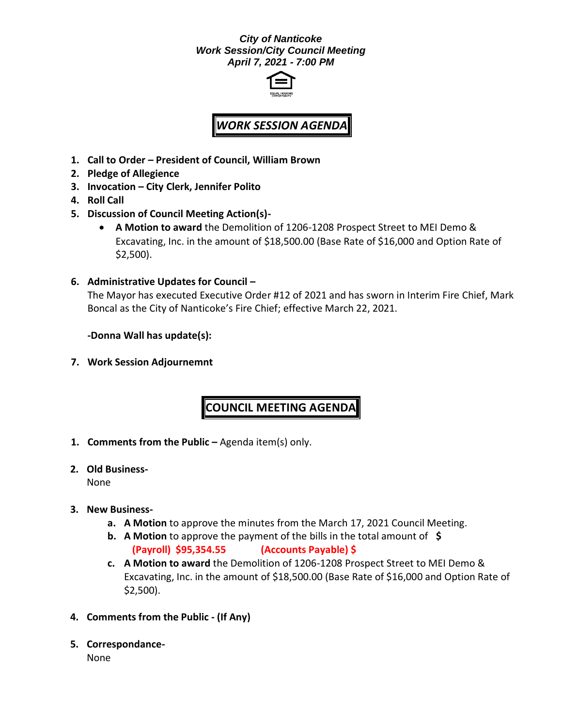## *City of Nanticoke Work Session/City Council Meeting April 7, 2021 - 7:00 PM*



## *WORK SESSION AGENDA*

- **1. Call to Order – President of Council, William Brown**
- **2. Pledge of Allegience**
- **3. Invocation – City Clerk, Jennifer Polito**
- **4. Roll Call**
- **5. Discussion of Council Meeting Action(s)-**
	- **A Motion to award** the Demolition of 1206-1208 Prospect Street to MEI Demo & Excavating, Inc. in the amount of \$18,500.00 (Base Rate of \$16,000 and Option Rate of \$2,500).
- **6. Administrative Updates for Council –**

The Mayor has executed Executive Order #12 of 2021 and has sworn in Interim Fire Chief, Mark Boncal as the City of Nanticoke's Fire Chief; effective March 22, 2021.

**-Donna Wall has update(s):**

**7. Work Session Adjournemnt**

## **COUNCIL MEETING AGENDA**

- **1. Comments from the Public –** Agenda item(s) only.
- **2. Old Business-**

None

- **3. New Business**
	- **a. A Motion** to approve the minutes from the March 17, 2021 Council Meeting.
	- **b. A Motion** to approve the payment of the bills in the total amount of **\$ (Payroll) \$95,354.55 (Accounts Payable) \$**
	- **c. A Motion to award** the Demolition of 1206-1208 Prospect Street to MEI Demo & Excavating, Inc. in the amount of \$18,500.00 (Base Rate of \$16,000 and Option Rate of \$2,500).
- **4. Comments from the Public - (If Any)**
- **5. Correspondance-**

None